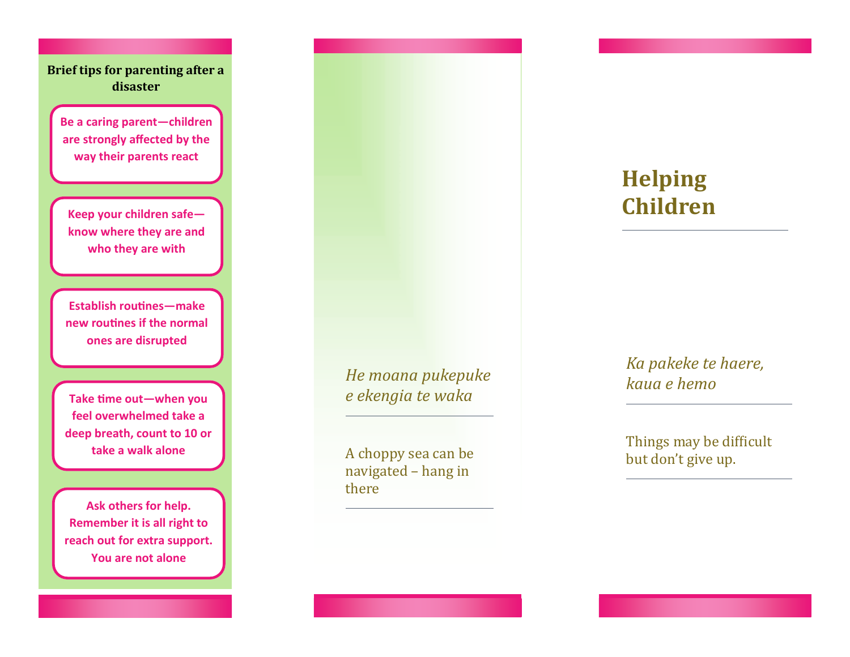**Brief tips for parenting after a disaster**

**Be a caring parent—children are strongly affected by the way their parents react**

**Keep your children safe know where they are and who they are with**

**Establish routines—make new routines if the normal ones are disrupted**

**Take time out—when you feel overwhelmed take a deep breath, count to 10 or take a walk alone**

**Ask others for help. Remember it is all right to reach out for extra support. You are not alone**

*He moana pukepuke e ekengia te waka*

A choppy sea can be navigated – hang in there

## **Helping Children**

*Ka pakeke te haere, kaua e hemo*

Things may be difficult but don't give up.